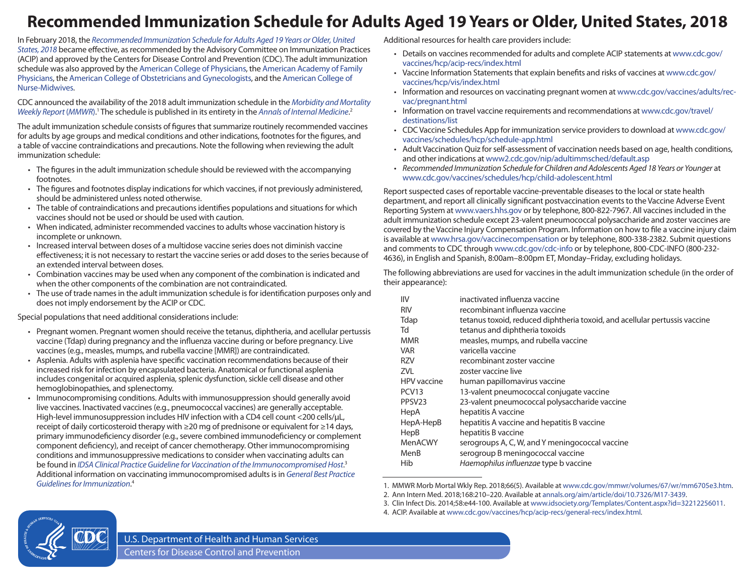# **Recommended Immunization Schedule for Adults Aged 19 Years or Older, United States, 2018**

In February 2018, the [Recommended Immunization Schedule for Adults Aged 19 Years or Older, United](https://www.cdc.gov/vaccines/schedules/hcp/adult.html)  [States, 2018](https://www.cdc.gov/vaccines/schedules/hcp/adult.html) became effective, as recommended by the Advisory Committee on Immunization Practices (ACIP) and approved by the Centers for Disease Control and Prevention (CDC). The adult immunization schedule was also approved by the [American College of Physicians](http://www.acponline.org), the [American Academy of Family](http://www.aafp.org)  [Physicians](http://www.aafp.org), the [American College of Obstetricians and Gynecologists,](http://www.acog.org) and the [American College of](http://www.midwife.org/)  [Nurse-Midwives.](http://www.midwife.org/)

CDC announced the availability of the 2018 adult immunization schedule in the [Morbidity and Mortality](http://www.cdc.gov/mmwr/volumes/67/xxxxxxxxxx)  [Weekly Report](http://www.cdc.gov/mmwr/volumes/67/xxxxxxxxxx) (MMWR).<sup>1</sup> The schedule is published in its entirety in the [Annals of Internal Medicine](http://annals.org/aim).<sup>2</sup>

The adult immunization schedule consists of figures that summarize routinely recommended vaccines for adults by age groups and medical conditions and other indications, footnotes for the figures, and a table of vaccine contraindications and precautions. Note the following when reviewing the adult immunization schedule:

- The figures in the adult immunization schedule should be reviewed with the accompanying footnotes.
- The figures and footnotes display indications for which vaccines, if not previously administered, should be administered unless noted otherwise.
- The table of contraindications and precautions identifies populations and situations for which vaccines should not be used or should be used with caution.
- When indicated, administer recommended vaccines to adults whose vaccination history is incomplete or unknown.
- Increased interval between doses of a multidose vaccine series does not diminish vaccine effectiveness; it is not necessary to restart the vaccine series or add doses to the series because of an extended interval between doses.
- Combination vaccines may be used when any component of the combination is indicated and when the other components of the combination are not contraindicated.
- The use of trade names in the adult immunization schedule is for identification purposes only and does not imply endorsement by the ACIP or CDC.

Special populations that need additional considerations include:

- Pregnant women. Pregnant women should receive the tetanus, diphtheria, and acellular pertussis vaccine (Tdap) during pregnancy and the influenza vaccine during or before pregnancy. Live vaccines (e.g., measles, mumps, and rubella vaccine [MMR]) are contraindicated.
- Asplenia. Adults with asplenia have specific vaccination recommendations because of their increased risk for infection by encapsulated bacteria. Anatomical or functional asplenia includes congenital or acquired asplenia, splenic dysfunction, sickle cell disease and other hemoglobinopathies, and splenectomy.
- Immunocompromising conditions. Adults with immunosuppression should generally avoid live vaccines. Inactivated vaccines (e.g., pneumococcal vaccines) are generally acceptable. High-level immunosuppression includes HIV infection with a CD4 cell count <200 cells/μL, receipt of daily corticosteroid therapy with ≥20 mg of prednisone or equivalent for ≥14 days, primary immunodeficiency disorder (e.g., severe combined immunodeficiency or complement component deficiency), and receipt of cancer chemotherapy. Other immunocompromising conditions and immunosuppressive medications to consider when vaccinating adults can be found in [IDSA Clinical Practice Guideline for Vaccination of the Immunocompromised Host](http://www.idsociety.org/Templates/Content.aspx?id=32212256011).<sup>3</sup> Additional information on vaccinating immunocompromised adults is in [General Best Practice](http://www.cdc.gov/vaccines/hcp/acip-recs/general-recs/index.html)  [Guidelines for Immunization](http://www.cdc.gov/vaccines/hcp/acip-recs/general-recs/index.html). 4

Additional resources for health care providers include:

- Details on vaccines recommended for adults and complete ACIP statements at [www.cdc.gov/](http://www.cdc.gov/vaccines/hcp/acip-recs/index.html) [vaccines/hcp/acip-recs/index.html](http://www.cdc.gov/vaccines/hcp/acip-recs/index.html)
- Vaccine Information Statements that explain benefits and risks of vaccines at [www.cdc.gov/](http://www.cdc.gov/vaccines/hcp/vis/index.html) [vaccines/hcp/vis/index.html](http://www.cdc.gov/vaccines/hcp/vis/index.html)
- Information and resources on vaccinating pregnant women at [www.cdc.gov/vaccines/adults/rec](http://www.cdc.gov/vaccines/adults/rec-vac/pregnant.html)[vac/pregnant.html](http://www.cdc.gov/vaccines/adults/rec-vac/pregnant.html)
- Information on travel vaccine requirements and recommendations at [www.cdc.gov/travel/](http://www.cdc.gov/travel/destinations/list) [destinations/list](http://www.cdc.gov/travel/destinations/list)
- CDC Vaccine Schedules App for immunization service providers to download at [www.cdc.gov/](http://www.cdc.gov/vaccines/schedules/hcp/schedule-app.html) [vaccines/schedules/hcp/schedule-app.html](http://www.cdc.gov/vaccines/schedules/hcp/schedule-app.html)
- Adult Vaccination Quiz for self-assessment of vaccination needs based on age, health conditions, and other indications at [www2.cdc.gov/nip/adultimmsched/default.asp](http://www2.cdc.gov/nip/adultimmsched/default.asp)
- Recommended Immunization Schedule for Children and Adolescents Aged 18 Years or Younger at [www.cdc.gov/vaccines/schedules/hcp/child-adolescent.html](http://www.cdc.gov/vaccines/schedules/hcp/child-adolescent.html)

Report suspected cases of reportable vaccine-preventable diseases to the local or state health department, and report all clinically significant postvaccination events to the Vaccine Adverse Event Reporting System at [www.vaers.hhs.gov](http://www.vaers.hhs.gov) or by telephone, 800-822-7967. All vaccines included in the adult immunization schedule except 23-valent pneumococcal polysaccharide and zoster vaccines are covered by the Vaccine Injury Compensation Program. Information on how to file a vaccine injury claim is available at [www.hrsa.gov/vaccinecompensation](http://www.hrsa.gov/vaccinecompensation) or by telephone, 800-338-2382. Submit questions and comments to CDC through [www.cdc.gov/cdc-info](http://www.cdc.gov/cdc-info) or by telephone, 800-CDC-INFO (800-232- 4636), in English and Spanish, 8:00am–8:00pm ET, Monday–Friday, excluding holidays.

The following abbreviations are used for vaccines in the adult immunization schedule (in the order of their appearance):

| IIV                | inactivated influenza vaccine                                              |
|--------------------|----------------------------------------------------------------------------|
| <b>RIV</b>         | recombinant influenza vaccine                                              |
| Tdap               | tetanus toxoid, reduced diphtheria toxoid, and acellular pertussis vaccine |
| Td                 | tetanus and diphtheria toxoids                                             |
| <b>MMR</b>         | measles, mumps, and rubella vaccine                                        |
| VAR.               | varicella vaccine                                                          |
| <b>RZV</b>         | recombinant zoster vaccine                                                 |
| ZVL                | zoster vaccine live                                                        |
| <b>HPV</b> vaccine | human papillomavirus vaccine                                               |
| PCV <sub>13</sub>  | 13-valent pneumococcal conjugate vaccine                                   |
| PPSV <sub>23</sub> | 23-valent pneumococcal polysaccharide vaccine                              |
| HepA               | hepatitis A vaccine                                                        |
| HepA-HepB          | hepatitis A vaccine and hepatitis B vaccine                                |
| HepB               | hepatitis B vaccine                                                        |
| MenACWY            | serogroups A, C, W, and Y meningococcal vaccine                            |
| MenB               | serogroup B meningococcal vaccine                                          |
| Hib                | Haemophilus influenzae type b vaccine                                      |
|                    |                                                                            |

<sup>1.</sup> MMWR Morb Mortal Wkly Rep. 2018;66(5). Available at [www.cdc.gov/mmwr/volumes/67/wr/mm6705e3.htm](http://www.cdc.gov/mmwr/volumes/67/wr/mm6705e3.htm).

4. ACIP. Available at [www.cdc.gov/vaccines/hcp/acip-recs/general-recs/index.html](http://www.cdc.gov/vaccines/hcp/acip-recs/general-recs/index.html).



Centers for Disease Control and Prevention

<sup>2.</sup> Ann Intern Med. 2018;168:210–220. Available at [annals.org/aim/article/doi/10.7326/M17-3439](http://annals.org/aim/article/doi/10.7326/M17-3439).

<sup>3.</sup> Clin Infect Dis. 2014;58:e44-100. Available at [www.idsociety.org/Templates/Content.aspx?id=32212256011](http://www.idsociety.org/Templates/Content.aspx?id=32212256011).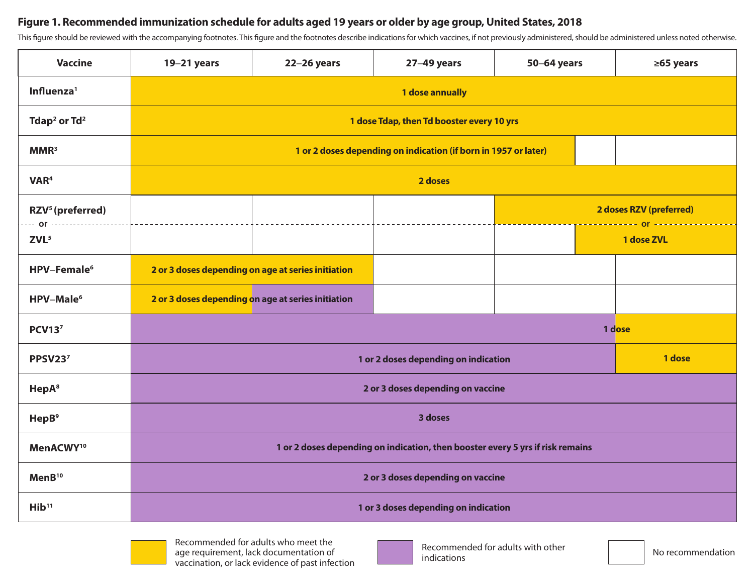# **Figure 1. Recommended immunization schedule for adults aged 19 years or older by age group, United States, 2018**

This figure should be reviewed with the accompanying footnotes. This figure and the footnotes describe indications for which vaccines, if not previously administered, should be administered unless noted otherwise.

| <b>Vaccine</b>                                         | 19-21 years                                                                    | $22-26$ years<br>$27-49$ years                     |  | 50-64 years | $\geq 65$ years         |  |  |  |  |
|--------------------------------------------------------|--------------------------------------------------------------------------------|----------------------------------------------------|--|-------------|-------------------------|--|--|--|--|
| Influenza <sup>1</sup>                                 | 1 dose annually                                                                |                                                    |  |             |                         |  |  |  |  |
| Tdap <sup>2</sup> or Td <sup>2</sup>                   | 1 dose Tdap, then Td booster every 10 yrs                                      |                                                    |  |             |                         |  |  |  |  |
| MMR <sup>3</sup>                                       | 1 or 2 doses depending on indication (if born in 1957 or later)                |                                                    |  |             |                         |  |  |  |  |
| VAR <sup>4</sup>                                       |                                                                                | 2 doses                                            |  |             |                         |  |  |  |  |
| RZV <sup>5</sup> (preferred)<br>-- Or ---------------- |                                                                                |                                                    |  |             | 2 doses RZV (preferred) |  |  |  |  |
| ZVL <sup>5</sup>                                       |                                                                                |                                                    |  |             | 1 dose ZVL              |  |  |  |  |
| HPV-Female <sup>6</sup>                                | 2 or 3 doses depending on age at series initiation                             |                                                    |  |             |                         |  |  |  |  |
| HPV-Male <sup>6</sup>                                  |                                                                                | 2 or 3 doses depending on age at series initiation |  |             |                         |  |  |  |  |
| <b>PCV13<sup>7</sup></b>                               | 1 dose                                                                         |                                                    |  |             |                         |  |  |  |  |
| <b>PPSV237</b>                                         | 1 or 2 doses depending on indication                                           |                                                    |  |             |                         |  |  |  |  |
| HepA <sup>8</sup>                                      | 2 or 3 doses depending on vaccine                                              |                                                    |  |             |                         |  |  |  |  |
| HepB <sup>9</sup>                                      | 3 doses                                                                        |                                                    |  |             |                         |  |  |  |  |
| MenACWY <sup>10</sup>                                  | 1 or 2 doses depending on indication, then booster every 5 yrs if risk remains |                                                    |  |             |                         |  |  |  |  |
| MenB <sup>10</sup>                                     | 2 or 3 doses depending on vaccine                                              |                                                    |  |             |                         |  |  |  |  |
| Hib <sup>11</sup>                                      | 1 or 3 doses depending on indication                                           |                                                    |  |             |                         |  |  |  |  |



Recommended for adults who meet the age requirement, lack documentation of vaccination, or lack evidence of past infection



Recommended for adults with other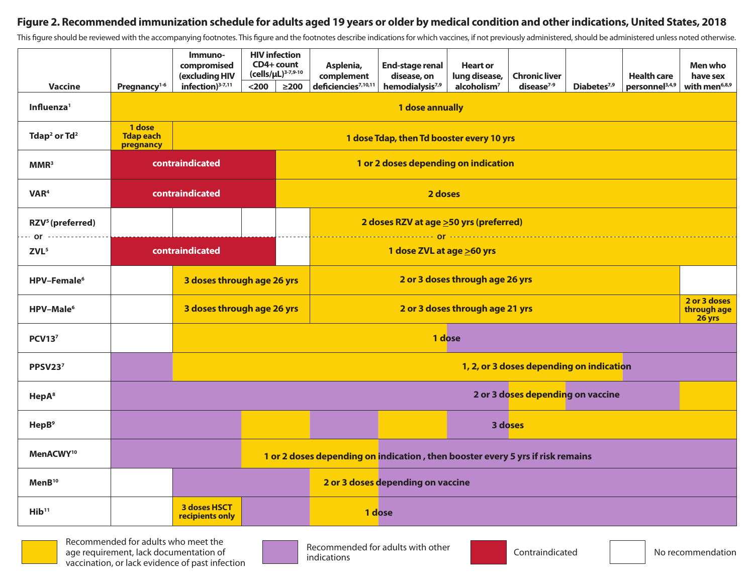# **Figure 2. Recommended immunization schedule for adults aged 19 years or older by medical condition and other indications, United States, 2018**

This figure should be reviewed with the accompanying footnotes. This figure and the footnotes describe indications for which vaccines, if not previously administered, should be administered unless noted otherwise.

| <b>Vaccine</b>                                 | Pregnancy <sup>1-6</sup>                                                       | Immuno-<br>compromised<br>(excluding HIV<br>infection) <sup>3-7,11</sup> | $200$ | <b>HIV</b> infection<br>CD4+ count<br>$(cells/µL)^{3-7.9-10}$<br>$\geq$ 200 | Asplenia,<br>complement<br>deficiencies <sup>7,10,11</sup> | <b>End-stage renal</b><br>disease, on<br>hemodialysis <sup>7,9</sup> | <b>Heart or</b><br>lung disease,<br>alcoholism <sup>7</sup> | <b>Chronic liver</b><br>disease <sup>7-9</sup> | Diabetes <sup>7,9</sup>               | <b>Health care</b><br>personnel <sup>3,4,9</sup> | Men who<br>have sex<br>with men <sup>6,8,9</sup> |
|------------------------------------------------|--------------------------------------------------------------------------------|--------------------------------------------------------------------------|-------|-----------------------------------------------------------------------------|------------------------------------------------------------|----------------------------------------------------------------------|-------------------------------------------------------------|------------------------------------------------|---------------------------------------|--------------------------------------------------|--------------------------------------------------|
| Influenza <sup>1</sup>                         | 1 dose annually                                                                |                                                                          |       |                                                                             |                                                            |                                                                      |                                                             |                                                |                                       |                                                  |                                                  |
| Tdap <sup>2</sup> or Td <sup>2</sup>           | 1 dose<br><b>Tdap each</b><br>pregnancy                                        |                                                                          |       |                                                                             |                                                            | 1 dose Tdap, then Td booster every 10 yrs                            |                                                             |                                                |                                       |                                                  |                                                  |
| MMR <sup>3</sup>                               |                                                                                | contraindicated                                                          |       |                                                                             |                                                            | 1 or 2 doses depending on indication                                 |                                                             |                                                |                                       |                                                  |                                                  |
| VAR <sup>4</sup>                               | contraindicated                                                                |                                                                          |       |                                                                             | 2 doses                                                    |                                                                      |                                                             |                                                |                                       |                                                  |                                                  |
| RZV <sup>5</sup> (preferred)<br>$or - - - - -$ |                                                                                |                                                                          |       |                                                                             | 2 doses RZV at age >50 yrs (preferred)                     |                                                                      |                                                             |                                                |                                       |                                                  |                                                  |
| ZVL <sup>5</sup>                               | contraindicated                                                                |                                                                          |       |                                                                             | 1 dose ZVL at age >60 yrs                                  |                                                                      |                                                             |                                                |                                       |                                                  |                                                  |
| HPV-Female <sup>6</sup>                        |                                                                                | 3 doses through age 26 yrs                                               |       |                                                                             | 2 or 3 doses through age 26 yrs                            |                                                                      |                                                             |                                                |                                       |                                                  |                                                  |
| HPV-Male <sup>6</sup>                          | 3 doses through age 26 yrs                                                     |                                                                          |       | 2 or 3 doses through age 21 yrs                                             |                                                            |                                                                      |                                                             |                                                | 2 or 3 doses<br>through age<br>26 yrs |                                                  |                                                  |
| PCV13 <sup>7</sup>                             | 1 dose                                                                         |                                                                          |       |                                                                             |                                                            |                                                                      |                                                             |                                                |                                       |                                                  |                                                  |
| PPSV237                                        | 1, 2, or 3 doses depending on indication                                       |                                                                          |       |                                                                             |                                                            |                                                                      |                                                             |                                                |                                       |                                                  |                                                  |
| HepA <sup>8</sup>                              | 2 or 3 doses depending on vaccine                                              |                                                                          |       |                                                                             |                                                            |                                                                      |                                                             |                                                |                                       |                                                  |                                                  |
| HepB <sup>9</sup>                              | 3 doses                                                                        |                                                                          |       |                                                                             |                                                            |                                                                      |                                                             |                                                |                                       |                                                  |                                                  |
| MenACWY <sup>10</sup>                          | 1 or 2 doses depending on indication, then booster every 5 yrs if risk remains |                                                                          |       |                                                                             |                                                            |                                                                      |                                                             |                                                |                                       |                                                  |                                                  |
| MenB <sup>10</sup>                             | 2 or 3 doses depending on vaccine                                              |                                                                          |       |                                                                             |                                                            |                                                                      |                                                             |                                                |                                       |                                                  |                                                  |
| Hib <sup>11</sup>                              |                                                                                | <b>3 doses HSCT</b><br>recipients only                                   |       |                                                                             |                                                            | 1 dose                                                               |                                                             |                                                |                                       |                                                  |                                                  |



Recommended for adults who meet the age requirement, lack documentation of vaccination, or lack evidence of past infection

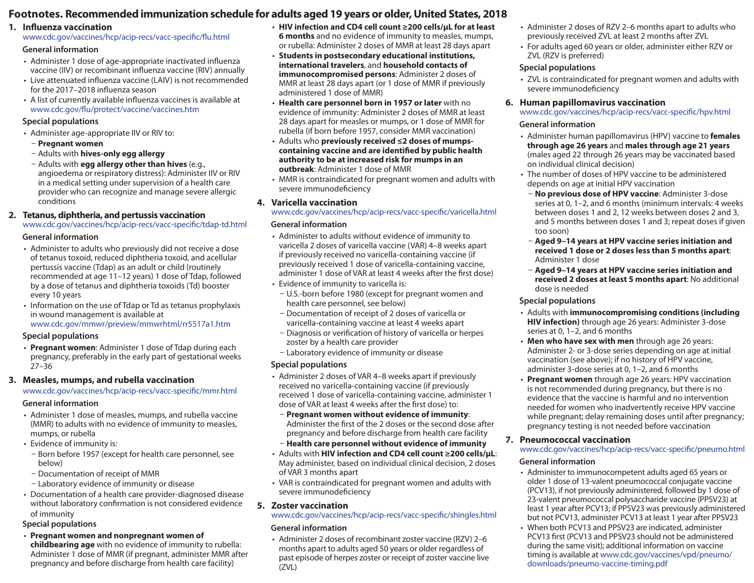# **Footnotes. Recommended immunization schedule for adults aged 19 years or older, United States, 2018**

#### **1. Influenza vaccination**

[www.cdc.gov/vaccines/hcp/acip-recs/vacc-specific/flu.html](http://www.cdc.gov/vaccines/hcp/acip-recs/vacc-specific/flu.html  )

#### **General information**

- Administer 1 dose of age-appropriate inactivated influenza vaccine (IIV) or recombinant influenza vaccine (RIV) annually
- Live attenuated influenza vaccine (LAIV) is not recommended for the 2017–2018 influenza season
- A list of currently available influenza vaccines is available at [www.cdc.gov/flu/protect/vaccine/vaccines.htm](http://www.cdc.gov/flu/protect/vaccine/vaccines.htm )

#### **Special populations**

- Administer age-appropriate IIV or RIV to:
- ʱ **Pregnant women**
- ʱ Adults with **hives-only egg allergy**
- ʱ Adults with **egg allergy other than hives** (e.g., angioedema or respiratory distress): Administer IIV or RIV in a medical setting under supervision of a health care provider who can recognize and manage severe allergic conditions

# **2. Tetanus, diphtheria, and pertussis vaccination**

[www.cdc.gov/vaccines/hcp/acip-recs/vacc-specific/tdap-td.html](http://www.cdc.gov/vaccines/hcp/acip-recs/vacc-specific/tdap-td.html)

#### **General information**

- Administer to adults who previously did not receive a dose of tetanus toxoid, reduced diphtheria toxoid, and acellular pertussis vaccine (Tdap) as an adult or child (routinely recommended at age 11–12 years) 1 dose of Tdap, followed by a dose of tetanus and diphtheria toxoids (Td) booster every 10 years
- Information on the use of Tdap or Td as tetanus prophylaxis in wound management is available at [www.cdc.gov/mmwr/preview/mmwrhtml/rr5517a1.htm](http://www.cdc.gov/mmwr/preview/mmwrhtml/rr5517a1.htm )

### **Special populations**

• **Pregnant women**: Administer 1 dose of Tdap during each pregnancy, preferably in the early part of gestational weeks  $27 - 36$ 

### **3. Measles, mumps, and rubella vaccination**

# [www.cdc.gov/vaccines/hcp/acip-recs/vacc-specific/mmr.html](http://www.cdc.gov/vaccines/hcp/acip-recs/vacc-specific/mmr.html)

# **General information**

- Administer 1 dose of measles, mumps, and rubella vaccine (MMR) to adults with no evidence of immunity to measles, mumps, or rubella
- Evidence of immunity is:
- Born before 1957 (except for health care personnel, see below)
- Documentation of receipt of MMR
- Laboratory evidence of immunity or disease
- Documentation of a health care provider-diagnosed disease without laboratory confirmation is not considered evidence of immunity

# **Special populations**

• **Pregnant women and nonpregnant women of childbearing age** with no evidence of immunity to rubella: Administer 1 dose of MMR (if pregnant, administer MMR after pregnancy and before discharge from health care facility)

- **HIV infection and CD4 cell count ≥200 cells/μL for at least 6 months** and no evidence of immunity to measles, mumps, or rubella: Administer 2 doses of MMR at least 28 days apart
- **Students in postsecondary educational institutions, international travelers**, and **household contacts of immunocompromised persons**: Administer 2 doses of MMR at least 28 days apart (or 1 dose of MMR if previously administered 1 dose of MMR)
- **Health care personnel born in 1957 or later** with no evidence of immunity: Administer 2 doses of MMR at least 28 days apart for measles or mumps, or 1 dose of MMR for rubella (if born before 1957, consider MMR vaccination)
- Adults who **previously received ≤2 doses of mumpscontaining vaccine and are identified by public health authority to be at increased risk for mumps in an outbreak**: Administer 1 dose of MMR
- MMR is contraindicated for pregnant women and adults with severe immunodeficiency

# **4. Varicella vaccination**

# [www.cdc.gov/vaccines/hcp/acip-recs/vacc-specific/varicella.html](http://www.cdc.gov/vaccines/hcp/acip-recs/vacc-specific/varicella.html)

# **General information**

- Administer to adults without evidence of immunity to varicella 2 doses of varicella vaccine (VAR) 4–8 weeks apart if previously received no varicella-containing vaccine (if previously received 1 dose of varicella-containing vaccine, administer 1 dose of VAR at least 4 weeks after the first dose)
- Evidence of immunity to varicella is:
- U.S.-born before 1980 (except for pregnant women and health care personnel, see below)
- Documentation of receipt of 2 doses of varicella or varicella-containing vaccine at least 4 weeks apart
- Diagnosis or verification of history of varicella or herpes zoster by a health care provider
- Laboratory evidence of immunity or disease

# **Special populations**

- Administer 2 doses of VAR 4–8 weeks apart if previously received no varicella-containing vaccine (if previously received 1 dose of varicella-containing vaccine, administer 1 dose of VAR at least 4 weeks after the first dose) to:
	- ʱ **Pregnant women without evidence of immunity**: Administer the first of the 2 doses or the second dose after pregnancy and before discharge from health care facility
	- ʱ **Health care personnel without evidence of immunity**
- Adults with **HIV infection and CD4 cell count ≥200 cells/μL**: May administer, based on individual clinical decision, 2 doses of VAR 3 months apart
- VAR is contraindicated for pregnant women and adults with severe immunodeficiency

# **5. Zoster vaccination**

# [www.cdc.gov/vaccines/hcp/acip-recs/vacc-specific/shingles.html](http://www.cdc.gov/vaccines/hcp/acip-recs/vacc-specific/shingles.html )

# **General information**

• Administer 2 doses of recombinant zoster vaccine (RZV) 2–6 months apart to adults aged 50 years or older regardless of past episode of herpes zoster or receipt of zoster vaccine live (ZVL)

- Administer 2 doses of RZV 2–6 months apart to adults who previously received ZVL at least 2 months after ZVL
- For adults aged 60 years or older, administer either RZV or ZVL (RZV is preferred)

# **Special populations**

• ZVL is contraindicated for pregnant women and adults with severe immunodeficiency

# **6. Human papillomavirus vaccination**

# [www.cdc.gov/vaccines/hcp/acip-recs/vacc-specific/hpv.html](http://www.cdc.gov/vaccines/hcp/acip-recs/vacc-specific/hpv.html)

#### **General information**

- Administer human papillomavirus (HPV) vaccine to **females through age 26 years** and **males through age 21 years** (males aged 22 through 26 years may be vaccinated based on individual clinical decision)
- The number of doses of HPV vaccine to be administered depends on age at initial HPV vaccination
- ʱ **No previous dose of HPV vaccine**: Administer 3-dose series at 0, 1–2, and 6 months (minimum intervals: 4 weeks between doses 1 and 2, 12 weeks between doses 2 and 3, and 5 months between doses 1 and 3; repeat doses if given too soon)
- ʱ **Aged 9–14 years at HPV vaccine series initiation and received 1 dose or 2 doses less than 5 months apart**: Administer 1 dose
- ʱ **Aged 9–14 years at HPV vaccine series initiation and received 2 doses at least 5 months apart**: No additional dose is needed

# **Special populations**

- Adults with **immunocompromising conditions (including HIV infection)** through age 26 years: Administer 3-dose series at 0, 1–2, and 6 months
- **Men who have sex with men** through age 26 years: Administer 2- or 3-dose series depending on age at initial vaccination (see above); if no history of HPV vaccine, administer 3-dose series at 0, 1–2, and 6 months
- **Pregnant women** through age 26 years: HPV vaccination is not recommended during pregnancy, but there is no evidence that the vaccine is harmful and no intervention needed for women who inadvertently receive HPV vaccine while pregnant; delay remaining doses until after pregnancy; pregnancy testing is not needed before vaccination

### **7. Pneumococcal vaccination**

### [www.cdc.gov/vaccines/hcp/acip-recs/vacc-specific/pneumo.html](http://www.cdc.gov/vaccines/hcp/acip-recs/vacc-specific/pneumo.html)

### **General information**

- Administer to immunocompetent adults aged 65 years or older 1 dose of 13-valent pneumococcal conjugate vaccine (PCV13), if not previously administered, followed by 1 dose of 23-valent pneumococcal polysaccharide vaccine (PPSV23) at least 1 year after PCV13; if PPSV23 was previously administered but not PCV13, administer PCV13 at least 1 year after PPSV23
- When both PCV13 and PPSV23 are indicated, administer PCV13 first (PCV13 and PPSV23 should not be administered during the same visit); additional information on vaccine timing is available at [www.cdc.gov/vaccines/vpd/pneumo/](http://www.cdc.gov/vaccines/vpd/pneumo/downloads/pneumo-vaccine-timing.pdf) [downloads/pneumo-vaccine-timing.pdf](http://www.cdc.gov/vaccines/vpd/pneumo/downloads/pneumo-vaccine-timing.pdf)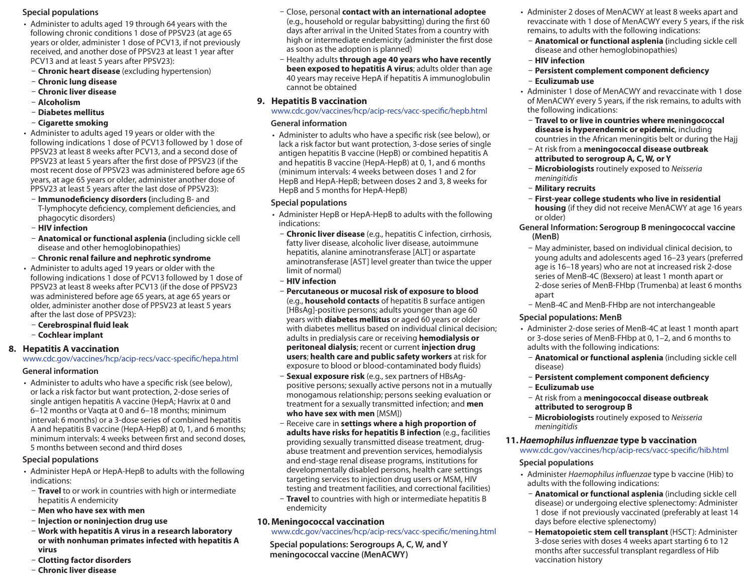#### **Special populations**

- Administer to adults aged 19 through 64 years with the following chronic conditions 1 dose of PPSV23 (at age 65 years or older, administer 1 dose of PCV13, if not previously received, and another dose of PPSV23 at least 1 year after PCV13 and at least 5 years after PPSV23):
- ʱ **Chronic heart disease** (excluding hypertension)
- ʱ **Chronic lung disease**
- ʱ **Chronic liver disease**
- Alcoholism
- ʱ **Diabetes mellitus**
- ʱ **Cigarette smoking**

• Administer to adults aged 19 years or older with the following indications 1 dose of PCV13 followed by 1 dose of PPSV23 at least 8 weeks after PCV13, and a second dose of PPSV23 at least 5 years after the first dose of PPSV23 (if the most recent dose of PPSV23 was administered before age 65 years, at age 65 years or older, administer another dose of PPSV23 at least 5 years after the last dose of PPSV23):

- $-$  **Immunodeficiency disorders** (including B- and T-lymphocyte deficiency, complement deficiencies, and phagocytic disorders)
- ʱ **HIV infection**
- ʱ **Anatomical or functional asplenia (**including sickle cell disease and other hemoglobinopathies)
- ʱ **Chronic renal failure and nephrotic syndrome**
- Administer to adults aged 19 years or older with the following indications 1 dose of PCV13 followed by 1 dose of PPSV23 at least 8 weeks after PCV13 (if the dose of PPSV23 was administered before age 65 years, at age 65 years or older, administer another dose of PPSV23 at least 5 years after the last dose of PPSV23):
	- ʱ **Cerebrospinal fluid leak**
	- ʱ **Cochlear implant**

### **8. Hepatitis A vaccination**

#### [www.cdc.gov/vaccines/hcp/acip-recs/vacc-specific/hepa.html](http://www.cdc.gov/vaccines/hcp/acip-recs/vacc-specific/hepa.html)

### **General information**

• Administer to adults who have a specific risk (see below), or lack a risk factor but want protection, 2-dose series of single antigen hepatitis A vaccine (HepA; Havrix at 0 and 6–12 months or Vaqta at 0 and 6–18 months; minimum interval: 6 months) or a 3-dose series of combined hepatitis A and hepatitis B vaccine (HepA-HepB) at 0, 1, and 6 months; minimum intervals: 4 weeks between first and second doses, 5 months between second and third doses

### **Special populations**

- Administer HepA or HepA-HepB to adults with the following indications:
	- Travel to or work in countries with high or intermediate hepatitis A endemicity
	- ʱ **Men who have sex with men**
- ʱ **Injection or noninjection drug use**
- ʱ **Work with hepatitis A virus in a research laboratory or with nonhuman primates infected with hepatitis A virus**
- ʱ **Clotting factor disorders**
- ʱ **Chronic liver disease**
- ʱ Close, personal **contact with an international adoptee** (e.g., household or regular babysitting) during the first 60 days after arrival in the United States from a country with high or intermediate endemicity (administer the first dose as soon as the adoption is planned)
- ʱ Healthy adults **through age 40 years who have recently been exposed to hepatitis A virus**; adults older than age 40 years may receive HepA if hepatitis A immunoglobulin cannot be obtained

# **9. Hepatitis B vaccination**

#### [www.cdc.gov/vaccines/hcp/acip-recs/vacc-specific/hepb.html](http://www.cdc.gov/vaccines/hcp/acip-recs/vacc-specific/hepb.html)

#### **General information**

• Administer to adults who have a specific risk (see below), or lack a risk factor but want protection, 3-dose series of single antigen hepatitis B vaccine (HepB) or combined hepatitis A and hepatitis B vaccine (HepA-HepB) at 0, 1, and 6 months (minimum intervals: 4 weeks between doses 1 and 2 for HepB and HepA-HepB; between doses 2 and 3, 8 weeks for HepB and 5 months for HepA-HepB)

# **Special populations**

- Administer HepB or HepA-HepB to adults with the following indications:
	- **Chronic liver disease** (e.g., hepatitis C infection, cirrhosis, fatty liver disease, alcoholic liver disease, autoimmune hepatitis, alanine aminotransferase [ALT] or aspartate aminotransferase [AST] level greater than twice the upper limit of normal)
	- ʱ **HIV infection**
- ʱ **Percutaneous or mucosal risk of exposure to blood** (e.g., **household contacts** of hepatitis B surface antigen [HBsAg]-positive persons; adults younger than age 60 years with **diabetes mellitus** or aged 60 years or older with diabetes mellitus based on individual clinical decision; adults in predialysis care or receiving **hemodialysis or peritoneal dialysis**; recent or current **injection drug users**; **health care and public safety workers** at risk for exposure to blood or blood-contaminated body fluids)
- ʱ **Sexual exposure risk** (e.g., sex partners of HBsAgpositive persons; sexually active persons not in a mutually monogamous relationship; persons seeking evaluation or treatment for a sexually transmitted infection; and **men who have sex with men** [MSM])
- ʱ Receive care in **settings where a high proportion of adults have risks for hepatitis B infection** (e.g., facilities providing sexually transmitted disease treatment, drugabuse treatment and prevention services, hemodialysis and end-stage renal disease programs, institutions for developmentally disabled persons, health care settings targeting services to injection drug users or MSM, HIV testing and treatment facilities, and correctional facilities)
- **Travel** to countries with high or intermediate hepatitis B endemicity

# **10. Meningococcal vaccination**

[www.cdc.gov/vaccines/hcp/acip-recs/vacc-specific/mening.html](http://www.cdc.gov/vaccines/hcp/acip-recs/vacc-specific/mening.html)

**Special populations: Serogroups A, C, W, and Y meningococcal vaccine (MenACWY)**

- Administer 2 doses of MenACWY at least 8 weeks apart and revaccinate with 1 dose of MenACWY every 5 years, if the risk remains, to adults with the following indications:
	- ʱ **Anatomical or functional asplenia (**including sickle cell disease and other hemoglobinopathies)
- ʱ **HIV infection**
- ʱ **Persistent complement component deficiency**
- ʱ **Eculizumab use**
- Administer 1 dose of MenACWY and revaccinate with 1 dose of MenACWY every 5 years, if the risk remains, to adults with the following indications:
	- ʱ **Travel to or live in countries where meningococcal disease is hyperendemic or epidemic**, including countries in the African meningitis belt or during the Hajj
	- ʱ At risk from a **meningococcal disease outbreak attributed to serogroup A, C, W, or Y**
	- **Microbiologists** routinely exposed to Neisseria meningitidis
	- ʱ **Military recruits**
	- ʱ **First-year college students who live in residential housing** (if they did not receive MenACWY at age 16 years or older)

#### **General Information: Serogroup B meningococcal vaccine (MenB)**

- May administer, based on individual clinical decision, to young adults and adolescents aged 16–23 years (preferred age is 16–18 years) who are not at increased risk 2-dose series of MenB-4C (Bexsero) at least 1 month apart or 2-dose series of MenB-FHbp (Trumenba) at least 6 months apart
- MenB-4C and MenB-FHbp are not interchangeable

# **Special populations: MenB**

- Administer 2-dose series of MenB-4C at least 1 month apart or 3-dose series of MenB-FHbp at 0, 1–2, and 6 months to adults with the following indications:
	- ʱ **Anatomical or functional asplenia** (including sickle cell disease)
	- ʱ **Persistent complement component deficiency**
- ʱ **Eculizumab use**
- ʱ At risk from a **meningococcal disease outbreak attributed to serogroup B**
- **Microbiologists** routinely exposed to Neisseria meningitidis

#### **11. Haemophilus influenzae type b vaccination** [www.cdc.gov/vaccines/hcp/acip-recs/vacc-specific/hib.html](http://www.cdc.gov/vaccines/hcp/acip-recs/vacc-specific/hib.html)

### **Special populations**

- Administer Haemophilus influenzae type b vaccine (Hib) to adults with the following indications:
- ʱ **Anatomical or functional asplenia** (including sickle cell disease) or undergoing elective splenectomy: Administer 1 dose if not previously vaccinated (preferably at least 14 days before elective splenectomy)
- ʱ **Hematopoietic stem cell transplant** (HSCT): Administer 3-dose series with doses 4 weeks apart starting 6 to 12 months after successful transplant regardless of Hib vaccination history